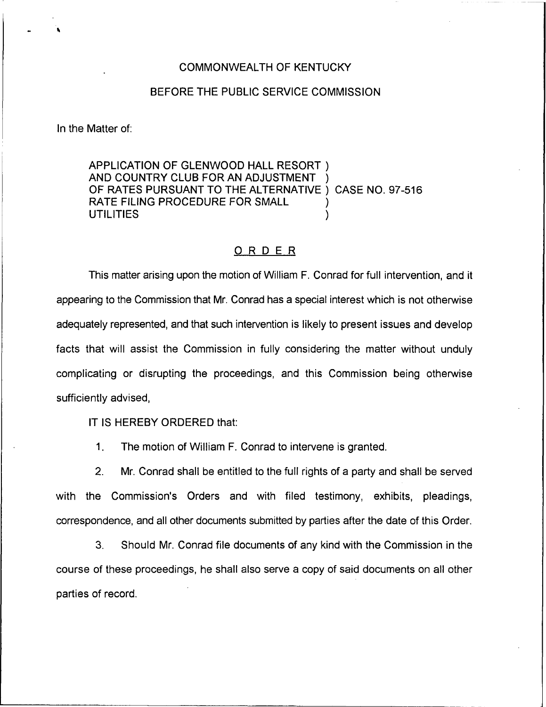## COMMONWEALTH OF KENTUCKY

## BEFORE THE PUBLIC SERVICE COMMISSION

In the Matter of:

APPLICATION OF GLENWOOD HALL RESORT ) AND COUNTRY CLUB FOR AN ADJUSTMENT OF RATES PURSUANT TO THE ALTERNATIVE ) CASE NO. 97-516 RATE FILING PROCEDURE FOR SMALL **UTILITIES** 

## ORDER

This matter arising upon the motion of William F. Conrad for full intervention, and it appearing to the Commission that Mr. Conrad has a special interest which is not otherwise adequately represented, and that such intervention is likely to present issues and develop facts that will assist the Commission in fully considering the matter without unduly complicating or disrupting the proceedings, and this Commission being otherwise sufficiently advised,

IT IS HEREBY ORDERED that:

1. The motion of William F. Conrad to intervene is granted.

2. Mr. Conrad shall be entitled to the full rights of a party and shall be served with the Commission's Orders and with filed testimony, exhibits, pleadings, correspondence, and all other documents submitted by parties after the date of this Order.

3. Should Mr. Conrad file documents of any kind with the Commission in the course of these proceedings, he shall also serve a copy of said documents on all other parties of record.